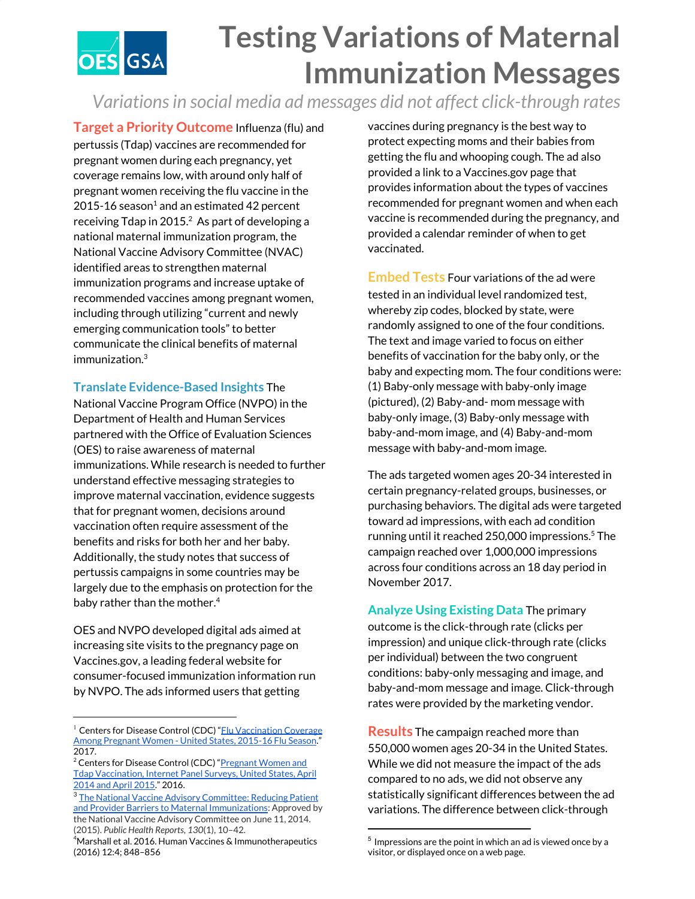

## **Testing Variations of Maternal Immunization Messages**

*Variationsin social media ad messages did not affect click-through rates*

**Target a Priority Outcome** Influenza (flu) and pertussis (Tdap) vaccines are recommended for pregnant women during each pregnancy, yet coverage remains low, with around only half of pregnant women receiving the flu vaccine in the  $2015$ -16 season<sup>1</sup> and an estimated 42 percent receiving Tdap in 2015. $^2$  As part of developing a national maternal immunization program, the National Vaccine Advisory Committee (NVAC) identified areas to strengthen maternal immunization programs and increase uptake of recommended vaccines among pregnant women, including through utilizing "current and newly emerging communication tools" to better communicate the clinical benefits of maternal immunization. 3

## **Translate Evidence-Based Insights** The

National Vaccine Program Office (NVPO) in the Department of Health and Human Services partnered with the Office of Evaluation Sciences (OES) to raise awareness of maternal immunizations. While research is needed to further understand effective messaging strategies to improve maternal vaccination, evidence suggests that for pregnant women, decisions around vaccination often require assessment of the benefits and risks for both her and her baby. Additionally, the study notes that success of pertussis campaigns in some countries may be largely due to the emphasis on protection for the baby rather than the mother. 4

OES and NVPO developed digital ads aimed at increasing site visits to the pregnancy page on Vaccines.gov, a leading federal website for consumer-focused immunization information run by NVPO. The ads informed users that getting

vaccines during pregnancy is the best way to protect expecting moms and their babies from getting the flu and whooping cough. The ad also provided a link to a Vaccines.gov page that provides information about the types of vaccines recommended for pregnant women and when each vaccine is recommended during the pregnancy, and provided a calendar reminder of when to get vaccinated.

**Embed Tests** Four variations of the ad were tested in an individual level randomized test, whereby zip codes, blocked by state, were randomly assigned to one of the four conditions. The text and image varied to focus on either benefits of vaccination for the baby only, or the baby and expecting mom. The four conditions were: (1) Baby-only message with baby-only image (pictured), (2) Baby-and- mom message with baby-only image, (3) Baby-only message with baby-and-mom image, and (4) Baby-and-mom message with baby-and-mom image.

The ads targeted women ages 20-34 interested in certain pregnancy-related groups, businesses, or purchasing behaviors. The digital ads were targeted toward ad impressions, with each ad condition running until it reached 250,000 impressions.<sup>5</sup> The campaign reached over 1,000,000 impressions across four conditions across an 18 day period in November 2017.

**Analyze Using Existing Data** The primary outcome is the click-through rate (clicks per impression) and unique click-through rate (clicks per individual) between the two congruent conditions: baby-only messaging and image, and baby-and-mom message and image. Click-through rates were provided by the marketing vendor.

**Results** The campaign reached more than 550,000 women ages 20-34 in the United States. While we did not measure the impact of the ads compared to no ads, we did not observe any statistically significant differences between the ad variations. The difference between click-through

<sup>&</sup>lt;sup>1</sup> Centers for Disease Control (CDC) "Flu [Vaccination](https://www.cdc.gov/flu/fluvaxview/pregnant-coverage_1516estimates.htm) Coverage Among [Pregnant](https://www.cdc.gov/flu/fluvaxview/pregnant-coverage_1516estimates.htm) Women - United States, 2015-16 Flu Season." 2017.

<sup>&</sup>lt;sup>2</sup> Centers for Disease Control (CDC) "<u>Pregnant Women and</u> Tdap [Vaccination,](https://www.cdc.gov/vaccines/imz-managers/coverage/adultvaxview/pubs-resources/tdap-report.html) Internet Panel Surveys, United States, April [2014](https://www.cdc.gov/vaccines/imz-managers/coverage/adultvaxview/pubs-resources/tdap-report.html) and April 2015." 2016.

<sup>&</sup>lt;sup>3</sup> The National Vaccine Advisory [Committee:](https://www.ncbi.nlm.nih.gov/pmc/articles/PMC4245282/) Reducing Patient and Provider Barriers to Maternal [Immunizations](https://www.ncbi.nlm.nih.gov/pmc/articles/PMC4245282/): Approved by the National Vaccine Advisory Committee on June 11, 2014. (2015). *Public Health Reports*, *130*(1), 10–42.

 $4$ Marshall et al. 2016. Human Vaccines & Immunotherapeutics (2016) 12:4; 848–856

 $^5$  Impressions are the point in which an ad is viewed once by a visitor, or displayed once on a web page.